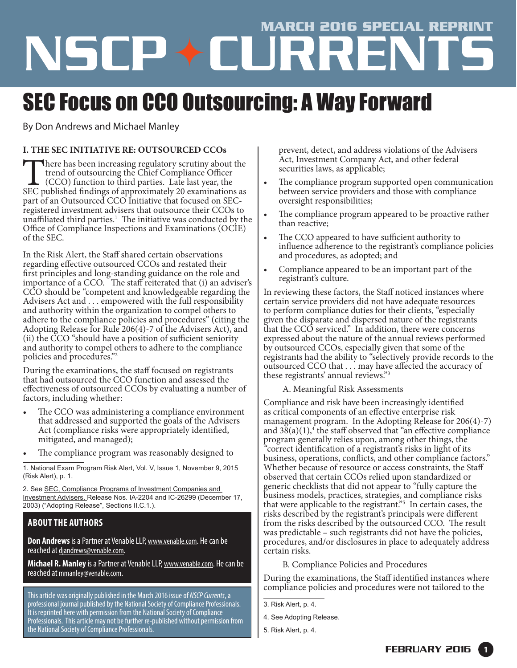# MARCH 2016 SPECIAL REPRINT

# SEC Focus on CCO Outsourcing: A Way Forward

By Don Andrews and Michael Manley

## **I. THE SEC INITIATIVE RE: OUTSOURCED CCOs**

There has been increasing regulatory scrutiny about the trend of outsourcing the Chief Compliance Officer (CCO) function to third parties. Late last year, the SEC published findings of approximately 20 examinations as trend of outsourcing the Chief Compliance Officer (CCO) function to third parties. Late last year, the SEC published findings of approximately 20 examinations as part of an Outsourced CCO Initiative that focused on SECregistered investment advisers that outsource their CCOs to unaffiliated third parties. $<sup>1</sup>$  The initiative was conducted by the</sup> Office of Compliance Inspections and Examinations (OCIE) of the SEC.

In the Risk Alert, the Staff shared certain observations regarding effective outsourced CCOs and restated their first principles and long-standing guidance on the role and importance of a CCO. The staff reiterated that (i) an adviser's CCO should be "competent and knowledgeable regarding the Advisers Act and . . . empowered with the full responsibility and authority within the organization to compel others to adhere to the compliance policies and procedures" (citing the Adopting Release for Rule 206(4)-7 of the Advisers Act), and (ii) the CCO "should have a position of sufficient seniority and authority to compel others to adhere to the compliance policies and procedures."2

During the examinations, the staff focused on registrants that had outsourced the CCO function and assessed the effectiveness of outsourced CCOs by evaluating a number of factors, including whether:

- The CCO was administering a compliance environment that addressed and supported the goals of the Advisers Act (compliance risks were appropriately identified, mitigated, and managed);
- The compliance program was reasonably designed to

1. National Exam Program Risk Alert, Vol. V, Issue 1, November 9, 2015 (Risk Alert), p. 1.

2. See SEC, Compliance Programs of Investment Companies and Investment Advisers, Release Nos. IA-2204 and IC-26299 (December 17, 2003) ("Adopting Release", Sections II.C.1.).

# **ABOUT THE AUTHORS**

**Don Andrews** is a Partner at Venable LLP, [www.venable.com]((http://join.onstreammedia.com/register/70742746/01tJxKi)). He can be reached at [djandrews@venable.com.](mailto:djandrews@venable.com)

**Michael R. Manley** is a Partner at Venable LLP, [www.venable.com](https://www.venable.com/). He can be reached at [mmanley@venable.com.](mailto:mmanley@venable.com)

This article was originally published in the March 2016 issue of *NSCP Currents*, a professional journal published by the National Society of Compliance Professionals. It is reprinted here with permission from the National Society of Compliance Professionals. This article may not be further re-published without permission from the National Society of Compliance Professionals.

prevent, detect, and address violations of the Advisers Act, Investment Company Act, and other federal securities laws, as applicable;

- The compliance program supported open communication between service providers and those with compliance oversight responsibilities;
- The compliance program appeared to be proactive rather than reactive;
- The CCO appeared to have sufficient authority to influence adherence to the registrant's compliance policies and procedures, as adopted; and
- Compliance appeared to be an important part of the registrant's culture.

In reviewing these factors, the Staff noticed instances where certain service providers did not have adequate resources to perform compliance duties for their clients, "especially given the disparate and dispersed nature of the registrants that the CCO serviced." In addition, there were concerns expressed about the nature of the annual reviews performed by outsourced CCOs, especially given that some of the registrants had the ability to "selectively provide records to the outsourced CCO that . . . may have affected the accuracy of these registrants' annual reviews."3

A. Meaningful Risk Assessments

Compliance and risk have been increasingly identified as critical components of an effective enterprise risk management program. In the Adopting Release for 206(4)-7) and  $3\bar{8}(a)(1),$ <sup>4</sup> the staff observed that "an effective compliance" program generally relies upon, among other things, the *"*correct identification of a registrant's risks in light of its business, operations, conflicts, and other compliance factors." Whether because of resource or access constraints, the Staff observed that certain CCOs relied upon standardized or generic checklists that did not appear to "fully capture the business models, practices, strategies, and compliance risks that were applicable to the registrant."<sup>5</sup> In certain cases, the risks described by the registrant's principals were different from the risks described by the outsourced CCO. The result was predictable – such registrants did not have the policies, procedures, and/or disclosures in place to adequately address certain risks.

B. Compliance Policies and Procedures

During the examinations, the Staff identified instances where compliance policies and procedures were not tailored to the

<sup>3.</sup> Risk Alert, p. 4.

<sup>4.</sup> See Adopting Release.

<sup>5.</sup> Risk Alert, p. 4.